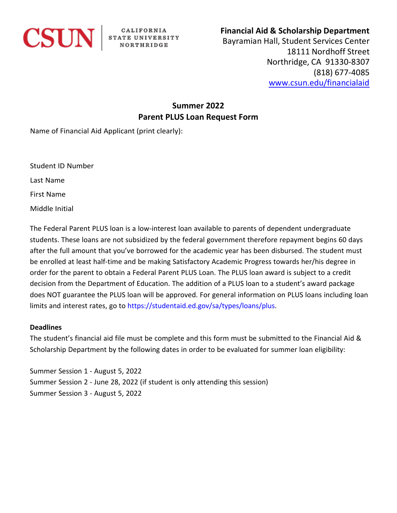

CALIFORNIA<br>STATE UNIVERSITY<br>NORTHRIDGE

## **Financial Aid & Scholarship Department**

Bayramian Hall, Student Services Center 18111 Nordhoff Street Northridge, CA 91330-8307 (818) 677-4085 [www.csun.edu/financialaid](http://www.csun.edu/financialaid)

# **Summer 2022 Parent PLUS Loan Request Form**

Name of Financial Aid Applicant (print clearly):

Student ID Number

Last Name

First Name

Middle Initial

The Federal Parent PLUS loan is a low-interest loan available to parents of dependent undergraduate students. These loans are not subsidized by the federal government therefore repayment begins 60 days after the full amount that you've borrowed for the academic year has been disbursed. The student must be enrolled at least half-time and be making Satisfactory Academic Progress towards her/his degree in order for the parent to obtain a Federal Parent PLUS Loan. The PLUS loan award is subject to a credit decision from the Department of Education. The addition of a PLUS loan to a student's award package does NOT guarantee the PLUS loan will be approved. For general information on PLUS loans including loan limits and interest rates, go to <https://studentaid.ed.gov/sa/types/loans/plus>.

#### **Deadlines**

The student's financial aid file must be complete and this form must be submitted to the Financial Aid & Scholarship Department by the following dates in order to be evaluated for summer loan eligibility:

Summer Session 1 - August 5, 2022 Summer Session 2 - June 28, 2022 (if student is only attending this session) Summer Session 3 - August 5, 2022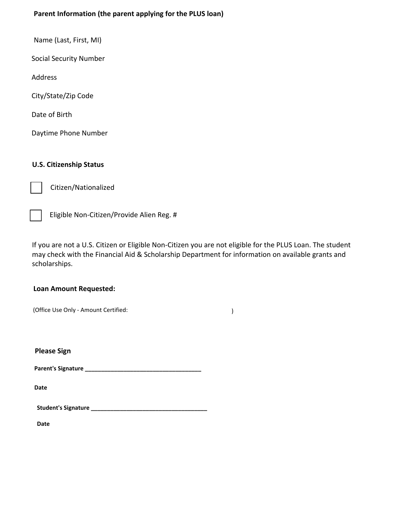### **Parent Information (the parent applying for the PLUS loan)**

Name (Last, First, MI)

Social Security Number

Address

City/State/Zip Code

Date of Birth

Daytime Phone Number

#### **U.S. Citizenship Status**

Citizen/Nationalized



Eligible Non-Citizen/Provide Alien Reg. #

If you are not a U.S. Citizen or Eligible Non-Citizen you are not eligible for the PLUS Loan. The student may check with the Financial Aid & Scholarship Department for information on available grants and scholarships.

#### **Loan Amount Requested:**

| (Office Use Only - Amount Certified: |
|--------------------------------------|
|--------------------------------------|

**Please Sign**

**Parent's Signature \_\_\_\_\_\_\_\_\_\_\_\_\_\_\_\_\_\_\_\_\_\_\_\_\_\_\_\_\_\_\_\_\_\_\_\_**

**Date**

**Student's Signature \_\_\_\_\_\_\_\_\_\_\_\_\_\_\_\_\_\_\_\_\_\_\_\_\_\_\_\_\_\_\_\_\_\_\_\_**

**Date**